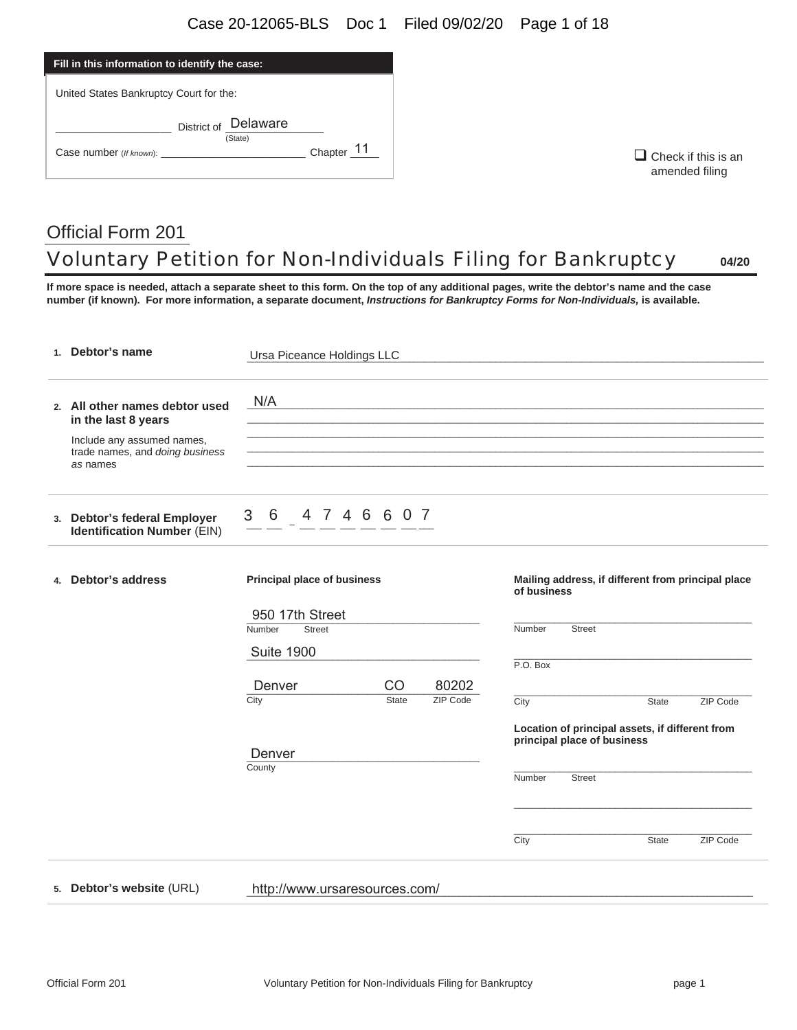| Fill in this information to identify the case: |              |  |  |  |
|------------------------------------------------|--------------|--|--|--|
| United States Bankruptcy Court for the:        |              |  |  |  |
| District of Delaware<br>(State)                |              |  |  |  |
| Case number (If known):                        | Chapter $11$ |  |  |  |

 $\Box$  Check if this is an amended filing

# Official Form 201 Voluntary Petition for Non-Individuals Filing for Bankruptcy **04/20**

**If more space is needed, attach a separate sheet to this form. On the top of any additional pages, write the debtor's name and the case number (if known). For more information, a separate document,** *Instructions for Bankruptcy Forms for Non-Individuals,* **is available.** 

| 1. Debtor's name                                                          | Ursa Piceance Holdings LLC         |              |          |                                                                   |       |          |
|---------------------------------------------------------------------------|------------------------------------|--------------|----------|-------------------------------------------------------------------|-------|----------|
| 2. All other names debtor used<br>in the last 8 years                     | N/A                                |              |          |                                                                   |       |          |
| Include any assumed names,<br>trade names, and doing business<br>as names |                                    |              |          |                                                                   |       |          |
| 3. Debtor's federal Employer<br><b>Identification Number (EIN)</b>        | 3<br>4 7 4 6 6 0 7<br>- 6          |              |          |                                                                   |       |          |
| 4. Debtor's address                                                       | <b>Principal place of business</b> |              |          | Mailing address, if different from principal place<br>of business |       |          |
|                                                                           | 950 17th Street                    |              |          |                                                                   |       |          |
|                                                                           | Number<br><b>Street</b>            |              |          | Number<br><b>Street</b>                                           |       |          |
|                                                                           | <b>Suite 1900</b>                  |              |          |                                                                   |       |          |
|                                                                           |                                    |              |          | P.O. Box                                                          |       |          |
|                                                                           | Denver                             | CO           | 80202    |                                                                   |       |          |
|                                                                           | City                               | <b>State</b> | ZIP Code | City                                                              | State | ZIP Code |
|                                                                           |                                    |              |          | Location of principal assets, if different from                   |       |          |
|                                                                           |                                    |              |          | principal place of business                                       |       |          |
|                                                                           | Denver                             |              |          |                                                                   |       |          |
|                                                                           | County                             |              |          | Number<br><b>Street</b>                                           |       |          |
|                                                                           |                                    |              |          |                                                                   |       |          |
|                                                                           |                                    |              |          |                                                                   |       |          |
|                                                                           |                                    |              |          | City                                                              | State | ZIP Code |
|                                                                           |                                    |              |          |                                                                   |       |          |
| 5. Debtor's website (URL)                                                 | http://www.ursaresources.com/      |              |          |                                                                   |       |          |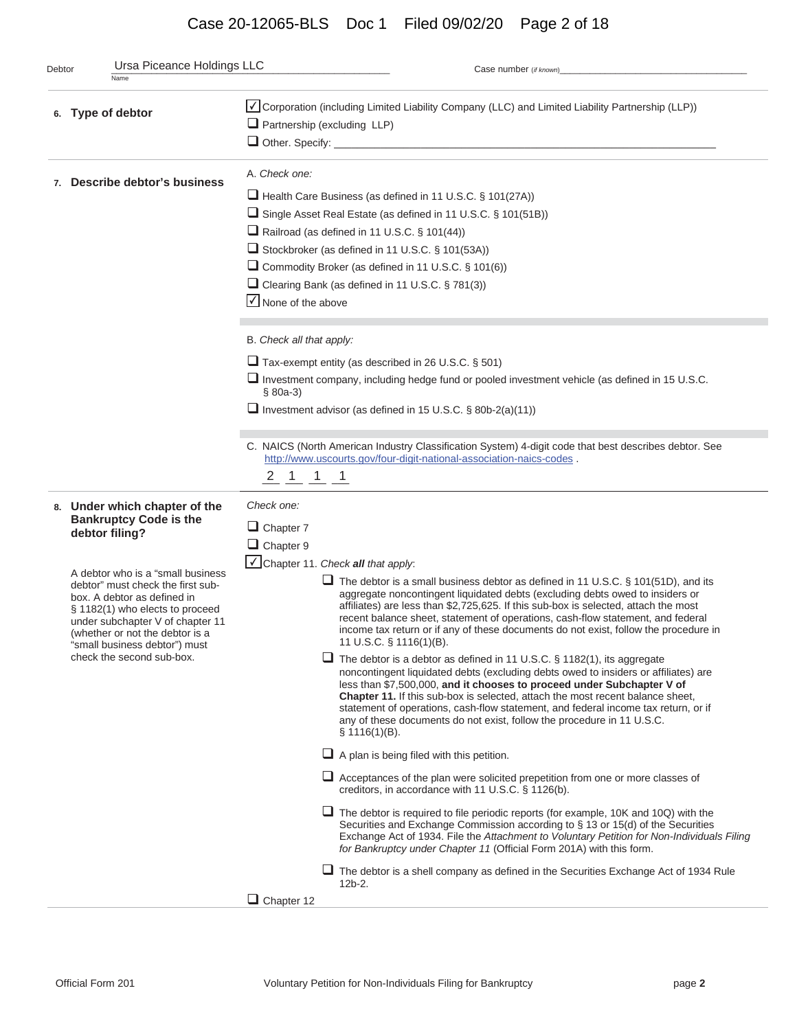## Case 20-12065-BLS Doc 1 Filed 09/02/20 Page 2 of 18

| Debtor | Ursa Piceance Holdings LLC<br>Name                                                                                                                                                                                                                                                                                                                                | Case number (if known)                                                                                                                                                                                                                                                                                                                                                                                                                                                                                                                                                                                                                                                                                                                                                                                                                                                                                                                                                                                                                                                                                                                                                                                                                                                                                                                                                                                                                                                                                                                                                                |  |  |  |  |
|--------|-------------------------------------------------------------------------------------------------------------------------------------------------------------------------------------------------------------------------------------------------------------------------------------------------------------------------------------------------------------------|---------------------------------------------------------------------------------------------------------------------------------------------------------------------------------------------------------------------------------------------------------------------------------------------------------------------------------------------------------------------------------------------------------------------------------------------------------------------------------------------------------------------------------------------------------------------------------------------------------------------------------------------------------------------------------------------------------------------------------------------------------------------------------------------------------------------------------------------------------------------------------------------------------------------------------------------------------------------------------------------------------------------------------------------------------------------------------------------------------------------------------------------------------------------------------------------------------------------------------------------------------------------------------------------------------------------------------------------------------------------------------------------------------------------------------------------------------------------------------------------------------------------------------------------------------------------------------------|--|--|--|--|
|        | 6. Type of debtor                                                                                                                                                                                                                                                                                                                                                 | Corporation (including Limited Liability Company (LLC) and Limited Liability Partnership (LLP))<br>$\Box$ Partnership (excluding LLP)<br>Other. Specify: <u>Commission Commission Commission Commission Commission Commission Commission Commission Commission</u>                                                                                                                                                                                                                                                                                                                                                                                                                                                                                                                                                                                                                                                                                                                                                                                                                                                                                                                                                                                                                                                                                                                                                                                                                                                                                                                    |  |  |  |  |
|        | 7. Describe debtor's business                                                                                                                                                                                                                                                                                                                                     | A. Check one:<br>Health Care Business (as defined in 11 U.S.C. § 101(27A))<br>Single Asset Real Estate (as defined in 11 U.S.C. § 101(51B))<br>Railroad (as defined in 11 U.S.C. § 101(44))<br>Stockbroker (as defined in 11 U.S.C. § 101(53A))<br>Commodity Broker (as defined in 11 U.S.C. § 101(6))<br>Clearing Bank (as defined in 11 U.S.C. § 781(3))<br>■ None of the above                                                                                                                                                                                                                                                                                                                                                                                                                                                                                                                                                                                                                                                                                                                                                                                                                                                                                                                                                                                                                                                                                                                                                                                                     |  |  |  |  |
|        |                                                                                                                                                                                                                                                                                                                                                                   | B. Check all that apply:<br>$\Box$ Tax-exempt entity (as described in 26 U.S.C. § 501)<br>$\Box$ Investment company, including hedge fund or pooled investment vehicle (as defined in 15 U.S.C.<br>$$80a-3)$<br>Investment advisor (as defined in 15 U.S.C. $\S$ 80b-2(a)(11))                                                                                                                                                                                                                                                                                                                                                                                                                                                                                                                                                                                                                                                                                                                                                                                                                                                                                                                                                                                                                                                                                                                                                                                                                                                                                                        |  |  |  |  |
|        |                                                                                                                                                                                                                                                                                                                                                                   | C. NAICS (North American Industry Classification System) 4-digit code that best describes debtor. See<br>http://www.uscourts.gov/four-digit-national-association-naics-codes.<br>$2 \quad 1 \quad 1 \quad 1$                                                                                                                                                                                                                                                                                                                                                                                                                                                                                                                                                                                                                                                                                                                                                                                                                                                                                                                                                                                                                                                                                                                                                                                                                                                                                                                                                                          |  |  |  |  |
|        | 8. Under which chapter of the<br><b>Bankruptcy Code is the</b><br>debtor filing?<br>A debtor who is a "small business<br>debtor" must check the first sub-<br>box. A debtor as defined in<br>§ 1182(1) who elects to proceed<br>under subchapter V of chapter 11<br>(whether or not the debtor is a<br>"small business debtor") must<br>check the second sub-box. | Check one:<br>$\Box$ Chapter 7<br>$\Box$ Chapter 9<br>√ Chapter 11. Check all that apply:<br>$\Box$ The debtor is a small business debtor as defined in 11 U.S.C. § 101(51D), and its<br>aggregate noncontingent liquidated debts (excluding debts owed to insiders or<br>affiliates) are less than \$2,725,625. If this sub-box is selected, attach the most<br>recent balance sheet, statement of operations, cash-flow statement, and federal<br>income tax return or if any of these documents do not exist, follow the procedure in<br>11 U.S.C. § 1116(1)(B).<br>$\Box$ The debtor is a debtor as defined in 11 U.S.C. § 1182(1), its aggregate<br>noncontingent liquidated debts (excluding debts owed to insiders or affiliates) are<br>less than \$7,500,000, and it chooses to proceed under Subchapter V of<br><b>Chapter 11.</b> If this sub-box is selected, attach the most recent balance sheet,<br>statement of operations, cash-flow statement, and federal income tax return, or if<br>any of these documents do not exist, follow the procedure in 11 U.S.C.<br>$\S$ 1116(1)(B).<br>$\Box$ A plan is being filed with this petition.<br>$\Box$ Acceptances of the plan were solicited prepetition from one or more classes of<br>creditors, in accordance with 11 U.S.C. § 1126(b).<br>$\Box$ The debtor is required to file periodic reports (for example, 10K and 10Q) with the<br>Securities and Exchange Commission according to § 13 or 15(d) of the Securities<br>Exchange Act of 1934. File the Attachment to Voluntary Petition for Non-Individuals Filing |  |  |  |  |
|        |                                                                                                                                                                                                                                                                                                                                                                   | for Bankruptcy under Chapter 11 (Official Form 201A) with this form.<br>$\Box$ The debtor is a shell company as defined in the Securities Exchange Act of 1934 Rule<br>12b-2.                                                                                                                                                                                                                                                                                                                                                                                                                                                                                                                                                                                                                                                                                                                                                                                                                                                                                                                                                                                                                                                                                                                                                                                                                                                                                                                                                                                                         |  |  |  |  |
|        |                                                                                                                                                                                                                                                                                                                                                                   | $\Box$ Chapter 12                                                                                                                                                                                                                                                                                                                                                                                                                                                                                                                                                                                                                                                                                                                                                                                                                                                                                                                                                                                                                                                                                                                                                                                                                                                                                                                                                                                                                                                                                                                                                                     |  |  |  |  |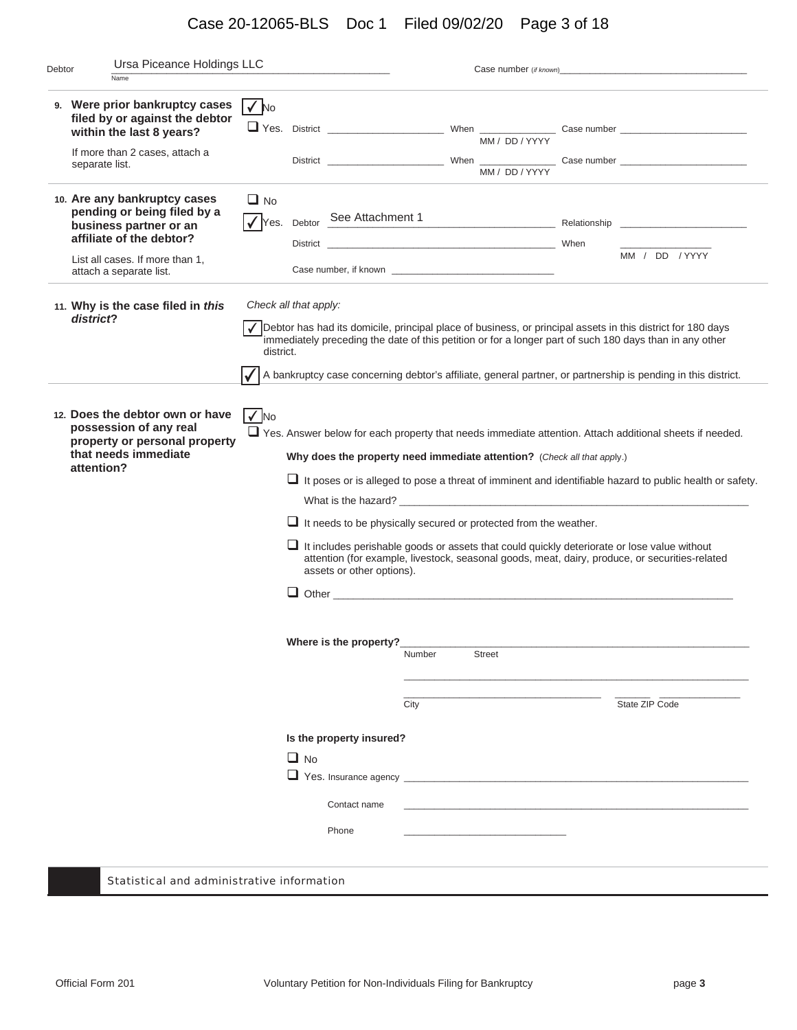## Case 20-12065-BLS Doc 1 Filed 09/02/20 Page 3 of 18

| Debtor | Ursa Piceance Holdings LLC                                                                                                                                                      |                                    |           |                                                                             |                |                                                                                                                                                    | Case number (if known)                                                                                                                                                                                                                                                                                                                                                                                                                   |
|--------|---------------------------------------------------------------------------------------------------------------------------------------------------------------------------------|------------------------------------|-----------|-----------------------------------------------------------------------------|----------------|----------------------------------------------------------------------------------------------------------------------------------------------------|------------------------------------------------------------------------------------------------------------------------------------------------------------------------------------------------------------------------------------------------------------------------------------------------------------------------------------------------------------------------------------------------------------------------------------------|
|        | Name                                                                                                                                                                            |                                    |           |                                                                             |                |                                                                                                                                                    |                                                                                                                                                                                                                                                                                                                                                                                                                                          |
|        | 9. Were prior bankruptcy cases<br>filed by or against the debtor<br>within the last 8 years?<br>If more than 2 cases, attach a<br>separate list.                                | $\sqrt{N}$                         |           |                                                                             |                | MM / DD / YYYY<br>MM / DD / YYYY                                                                                                                   |                                                                                                                                                                                                                                                                                                                                                                                                                                          |
|        | 10. Are any bankruptcy cases<br>pending or being filed by a<br>business partner or an<br>affiliate of the debtor?<br>List all cases. If more than 1,<br>attach a separate list. | $\Box$ No                          |           | √ Yes. Debtor See Attachment 1                                              |                |                                                                                                                                                    | MM / DD / YYYY                                                                                                                                                                                                                                                                                                                                                                                                                           |
|        | 11. Why is the case filed in this<br>district?                                                                                                                                  | Check all that apply:<br>district. |           |                                                                             |                |                                                                                                                                                    | √ Debtor has had its domicile, principal place of business, or principal assets in this district for 180 days<br>immediately preceding the date of this petition or for a longer part of such 180 days than in any other<br>A bankruptcy case concerning debtor's affiliate, general partner, or partnership is pending in this district.                                                                                                |
|        | 12. Does the debtor own or have<br>possession of any real<br>property or personal property<br>that needs immediate<br>attention?                                                | $\sqrt{N}$                         |           | assets or other options).                                                   |                | Why does the property need immediate attention? (Check all that apply.)<br>$\Box$ It needs to be physically secured or protected from the weather. | $\Box$ Yes. Answer below for each property that needs immediate attention. Attach additional sheets if needed.<br>$\Box$ It poses or is alleged to pose a threat of imminent and identifiable hazard to public health or safety.<br>$\Box$ It includes perishable goods or assets that could quickly deteriorate or lose value without<br>attention (for example, livestock, seasonal goods, meat, dairy, produce, or securities-related |
|        |                                                                                                                                                                                 |                                    | $\Box$ No | Where is the property?<br>Is the property insured?<br>Contact name<br>Phone | Number<br>City | <b>Street</b>                                                                                                                                      | State ZIP Code                                                                                                                                                                                                                                                                                                                                                                                                                           |
|        | <b>Statistical and administrative information</b>                                                                                                                               |                                    |           |                                                                             |                |                                                                                                                                                    |                                                                                                                                                                                                                                                                                                                                                                                                                                          |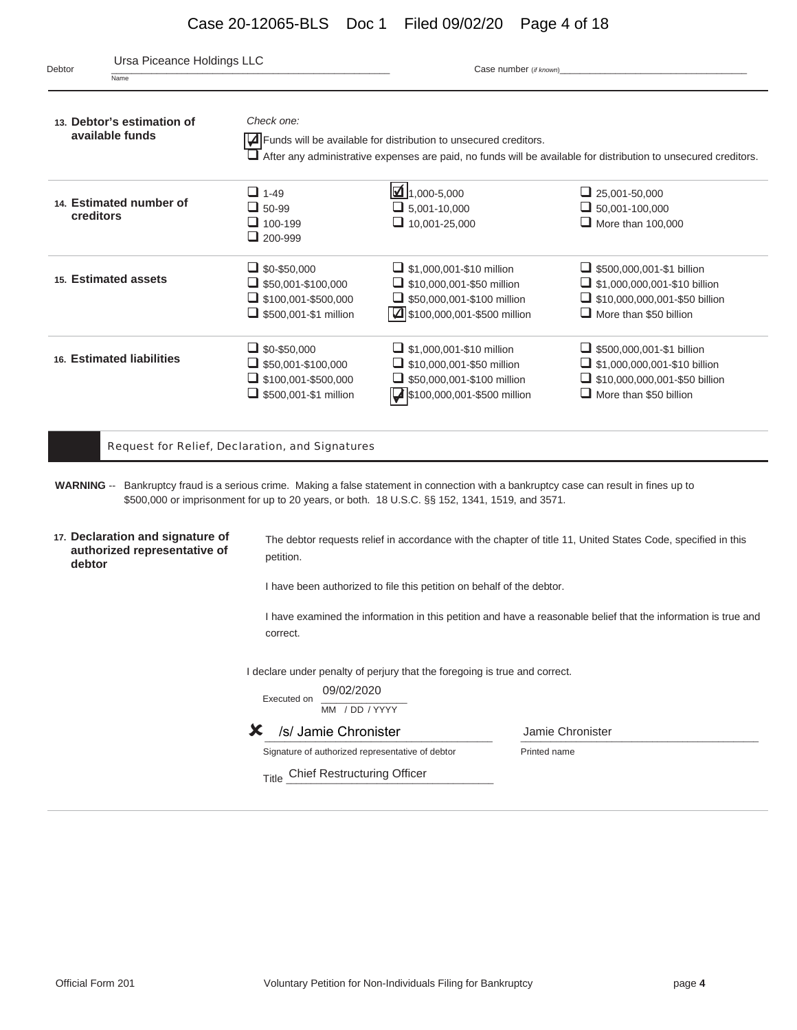## Case 20-12065-BLS Doc 1 Filed 09/02/20 Page 4 of 18

| Ursa Piceance Holdings LLC<br>Debtor<br>Name                                                                                            |                                                                                                                | Case number (if known)                                                                                                                  |                                                                                                                                                  |
|-----------------------------------------------------------------------------------------------------------------------------------------|----------------------------------------------------------------------------------------------------------------|-----------------------------------------------------------------------------------------------------------------------------------------|--------------------------------------------------------------------------------------------------------------------------------------------------|
| 13. Debtor's estimation of<br>available funds                                                                                           | Check one:                                                                                                     | $\sqrt{\phantom{a}}$ Funds will be available for distribution to unsecured creditors.                                                   | $\Box$ After any administrative expenses are paid, no funds will be available for distribution to unsecured creditors.                           |
| 14. Estimated number of<br>creditors                                                                                                    | $\Box$ 1-49<br>$\Box$ 50-99<br>$\Box$ 100-199<br>$\Box$ 200-999                                                | $\boxed{4}$ 1,000-5,000<br>$\Box$ 5,001-10,000<br>$\Box$ 10,001-25,000                                                                  | $\Box$ 25,001-50,000<br>$\Box$ 50,001-100,000<br>$\Box$ More than 100,000                                                                        |
| 15. Estimated assets                                                                                                                    | $\Box$ \$0-\$50,000<br>$\Box$ \$50,001-\$100,000<br>$\Box$ \$100,001-\$500,000<br>$\Box$ \$500,001-\$1 million | $\Box$ \$1,000,001-\$10 million<br>$\Box$ \$10,000,001-\$50 million<br>$\Box$ \$50,000,001-\$100 million<br>\$100,000,001-\$500 million | $\Box$ \$500,000,001-\$1 billion<br>$\Box$ \$1,000,000,001-\$10 billion<br>$\Box$ \$10,000,000,001-\$50 billion<br>$\Box$ More than \$50 billion |
| 16. Estimated liabilities                                                                                                               | $\Box$ \$0-\$50,000<br>$\Box$ \$50,001-\$100,000<br>$\Box$ \$100,001-\$500,000<br>5500,001-\$1 million         | $\Box$ \$1,000,001-\$10 million<br>$\Box$ \$10,000,001-\$50 million<br>$\Box$ \$50,000,001-\$100 million<br>\$100,000,001-\$500 million | $\Box$ \$500,000,001-\$1 billion<br>$\Box$ \$1,000,000,001-\$10 billion<br>$\Box$ \$10,000,000,001-\$50 billion<br>$\Box$ More than \$50 billion |
|                                                                                                                                         | Request for Relief, Declaration, and Signatures                                                                |                                                                                                                                         |                                                                                                                                                  |
| WARNING -- Bankruptcy fraud is a serious crime. Making a false statement in connection with a bankruptcy case can result in fines up to |                                                                                                                | \$500,000 or imprisonment for up to 20 years, or both. 18 U.S.C. §§ 152, 1341, 1519, and 3571.                                          |                                                                                                                                                  |
| 17. Declaration and signature of<br>authorized representative of<br>debtor                                                              | petition.                                                                                                      |                                                                                                                                         | The debtor requests relief in accordance with the chapter of title 11, United States Code, specified in this                                     |
|                                                                                                                                         |                                                                                                                | I have been authorized to file this petition on behalf of the debtor.                                                                   |                                                                                                                                                  |
|                                                                                                                                         | correct.                                                                                                       |                                                                                                                                         | I have examined the information in this petition and have a reasonable belief that the information is true and                                   |
|                                                                                                                                         | 09/02/2020<br>Executed on<br>MM / DD / YYYY                                                                    | I declare under penalty of perjury that the foregoing is true and correct.                                                              |                                                                                                                                                  |
|                                                                                                                                         | /s/ Jamie Chronister<br>Х                                                                                      |                                                                                                                                         | Jamie Chronister                                                                                                                                 |
|                                                                                                                                         | Signature of authorized representative of debtor                                                               |                                                                                                                                         | Printed name                                                                                                                                     |
|                                                                                                                                         | Title Chief Restructuring Officer                                                                              |                                                                                                                                         |                                                                                                                                                  |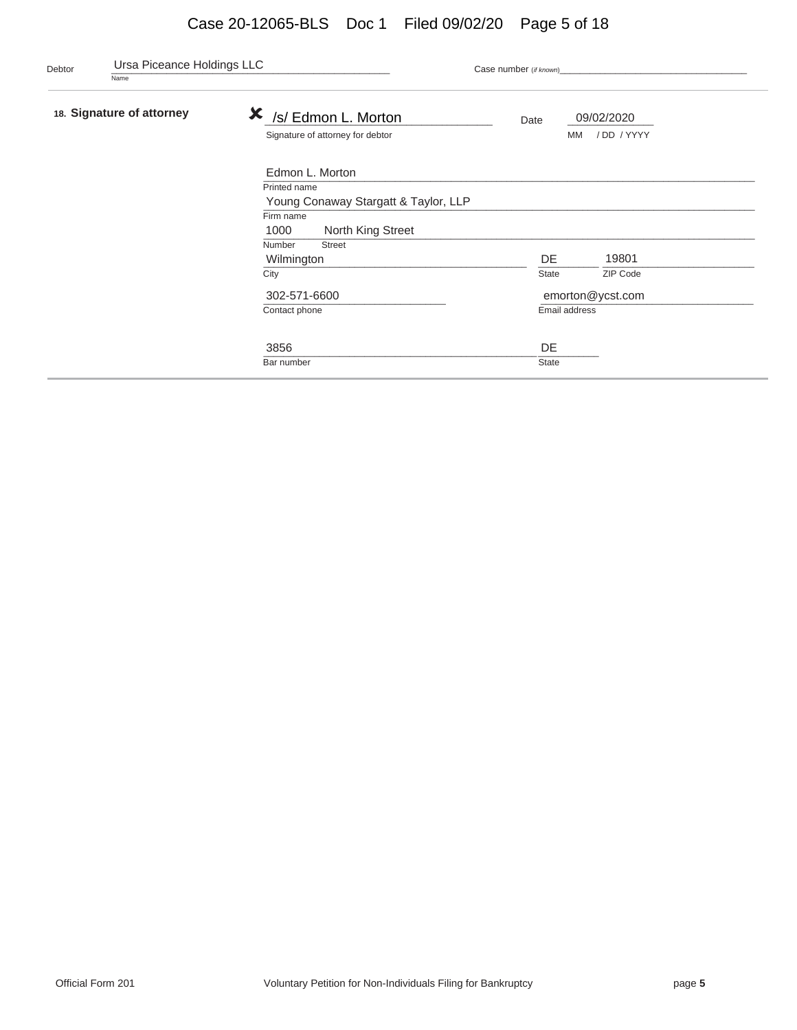## Case 20-12065-BLS Doc 1 Filed 09/02/20 Page 5 of 18

| Debtor | Ursa Piceance Holdings LLC<br>Name |                                                              | Case number (if known)                        |  |
|--------|------------------------------------|--------------------------------------------------------------|-----------------------------------------------|--|
|        | 18. Signature of attorney          | X<br>/s/ Edmon L. Morton<br>Signature of attorney for debtor | 09/02/2020<br>Date<br>/DD / YYYY<br><b>MM</b> |  |
|        |                                    | Edmon L. Morton                                              |                                               |  |
|        |                                    | Printed name                                                 |                                               |  |
|        |                                    | Young Conaway Stargatt & Taylor, LLP                         |                                               |  |
|        |                                    | Firm name                                                    |                                               |  |
|        |                                    | 1000<br>North King Street                                    |                                               |  |
|        |                                    | Number<br><b>Street</b>                                      |                                               |  |
|        |                                    | Wilmington                                                   | DE<br>19801                                   |  |
|        |                                    | City                                                         | ZIP Code<br><b>State</b>                      |  |
|        |                                    | 302-571-6600                                                 | emorton@ycst.com                              |  |
|        |                                    | Contact phone                                                | Email address                                 |  |
|        |                                    | 3856                                                         | DE                                            |  |
|        |                                    | Bar number                                                   | <b>State</b>                                  |  |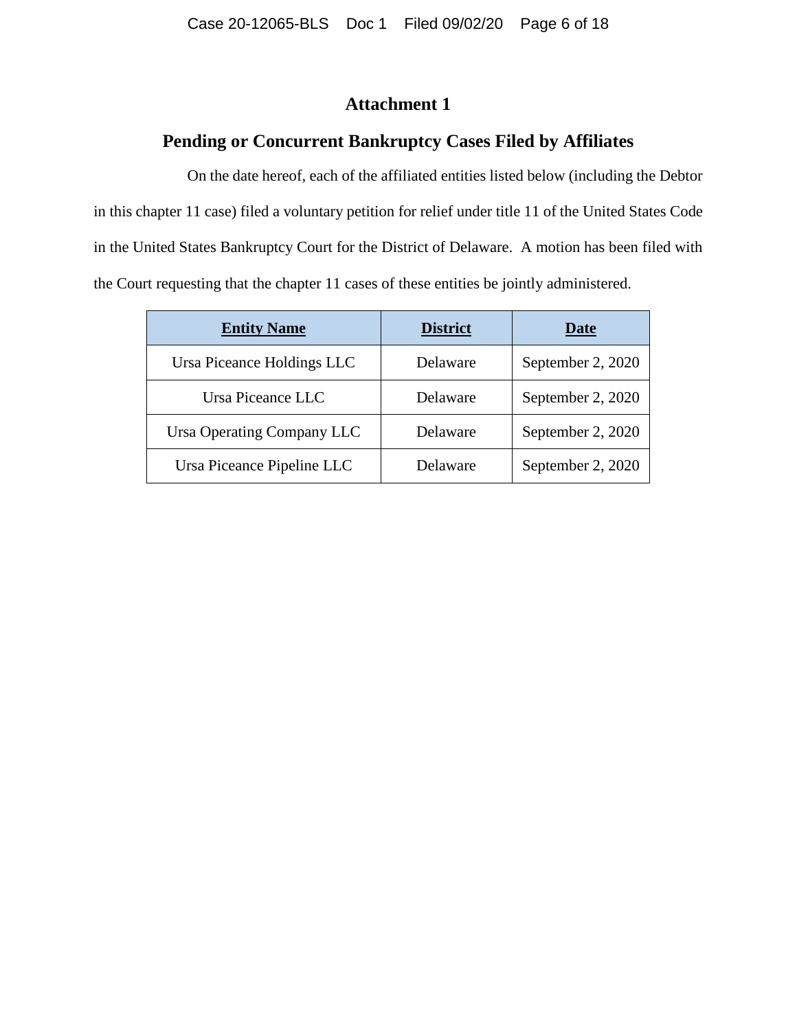### **Attachment 1**

### **Pending or Concurrent Bankruptcy Cases Filed by Affiliates**

On the date hereof, each of the affiliated entities listed below (including the Debtor in this chapter 11 case) filed a voluntary petition for relief under title 11 of the United States Code in the United States Bankruptcy Court for the District of Delaware. A motion has been filed with the Court requesting that the chapter 11 cases of these entities be jointly administered.

| <b>Entity Name</b>         | <b>District</b> | Date              |
|----------------------------|-----------------|-------------------|
| Ursa Piceance Holdings LLC | Delaware        | September 2, 2020 |
| Ursa Piceance LLC          | Delaware        | September 2, 2020 |
| Ursa Operating Company LLC | Delaware        | September 2, 2020 |
| Ursa Piceance Pipeline LLC | Delaware        | September 2, 2020 |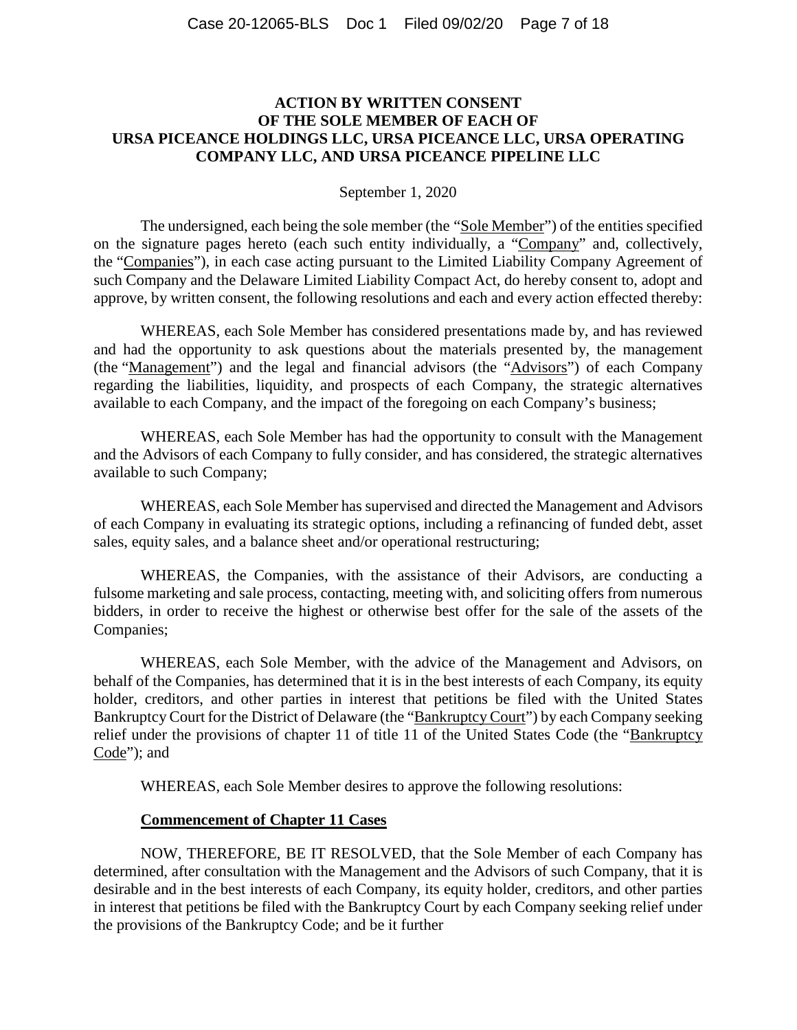### **ACTION BY WRITTEN CONSENT OF THE SOLE MEMBER OF EACH OF URSA PICEANCE HOLDINGS LLC, URSA PICEANCE LLC, URSA OPERATING COMPANY LLC, AND URSA PICEANCE PIPELINE LLC**

#### September 1, 2020

The undersigned, each being the sole member (the "Sole Member") of the entities specified on the signature pages hereto (each such entity individually, a "Company" and, collectively, the "Companies"), in each case acting pursuant to the Limited Liability Company Agreement of such Company and the Delaware Limited Liability Compact Act, do hereby consent to, adopt and approve, by written consent, the following resolutions and each and every action effected thereby:

WHEREAS, each Sole Member has considered presentations made by, and has reviewed and had the opportunity to ask questions about the materials presented by, the management (the "Management") and the legal and financial advisors (the "Advisors") of each Company regarding the liabilities, liquidity, and prospects of each Company, the strategic alternatives available to each Company, and the impact of the foregoing on each Company's business;

WHEREAS, each Sole Member has had the opportunity to consult with the Management and the Advisors of each Company to fully consider, and has considered, the strategic alternatives available to such Company;

WHEREAS, each Sole Member has supervised and directed the Management and Advisors of each Company in evaluating its strategic options, including a refinancing of funded debt, asset sales, equity sales, and a balance sheet and/or operational restructuring;

WHEREAS, the Companies, with the assistance of their Advisors, are conducting a fulsome marketing and sale process, contacting, meeting with, and soliciting offers from numerous bidders, in order to receive the highest or otherwise best offer for the sale of the assets of the Companies;

WHEREAS, each Sole Member, with the advice of the Management and Advisors, on behalf of the Companies, has determined that it is in the best interests of each Company, its equity holder, creditors, and other parties in interest that petitions be filed with the United States Bankruptcy Court for the District of Delaware (the "Bankruptcy Court") by each Company seeking relief under the provisions of chapter 11 of title 11 of the United States Code (the "Bankruptcy Code"); and

WHEREAS, each Sole Member desires to approve the following resolutions:

#### **Commencement of Chapter 11 Cases**

NOW, THEREFORE, BE IT RESOLVED, that the Sole Member of each Company has determined, after consultation with the Management and the Advisors of such Company, that it is desirable and in the best interests of each Company, its equity holder, creditors, and other parties in interest that petitions be filed with the Bankruptcy Court by each Company seeking relief under the provisions of the Bankruptcy Code; and be it further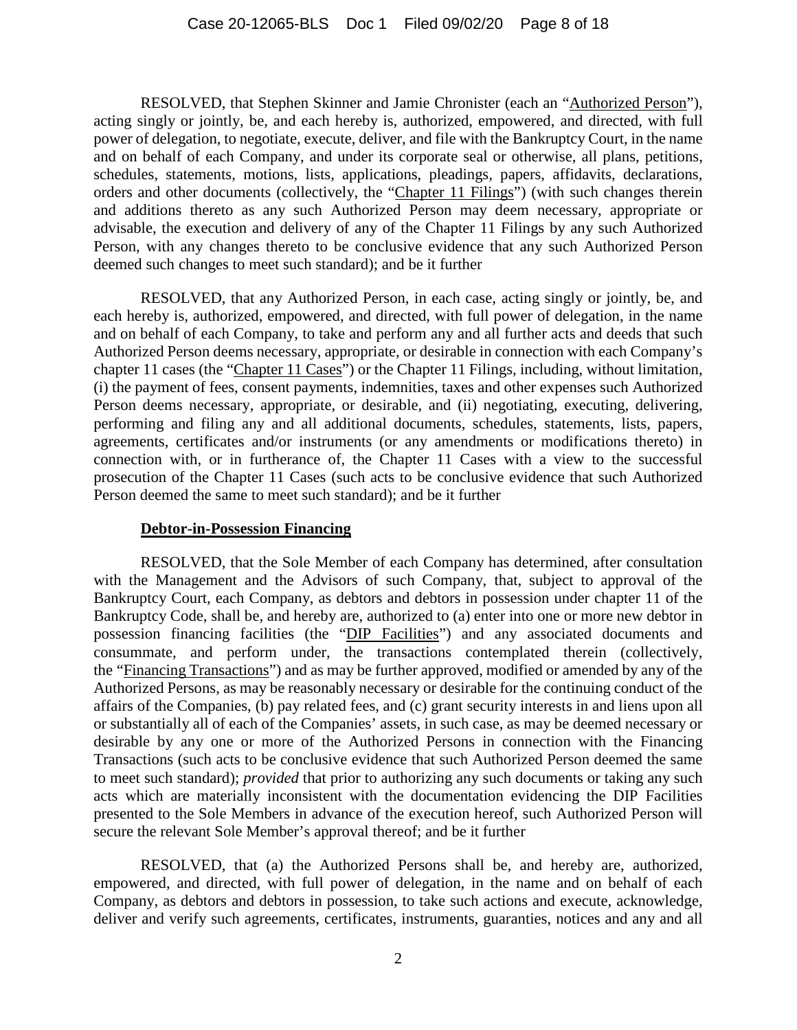RESOLVED, that Stephen Skinner and Jamie Chronister (each an "Authorized Person"), acting singly or jointly, be, and each hereby is, authorized, empowered, and directed, with full power of delegation, to negotiate, execute, deliver, and file with the Bankruptcy Court, in the name and on behalf of each Company, and under its corporate seal or otherwise, all plans, petitions, schedules, statements, motions, lists, applications, pleadings, papers, affidavits, declarations, orders and other documents (collectively, the "Chapter 11 Filings") (with such changes therein and additions thereto as any such Authorized Person may deem necessary, appropriate or advisable, the execution and delivery of any of the Chapter 11 Filings by any such Authorized Person, with any changes thereto to be conclusive evidence that any such Authorized Person deemed such changes to meet such standard); and be it further

RESOLVED, that any Authorized Person, in each case, acting singly or jointly, be, and each hereby is, authorized, empowered, and directed, with full power of delegation, in the name and on behalf of each Company, to take and perform any and all further acts and deeds that such Authorized Person deems necessary, appropriate, or desirable in connection with each Company's chapter 11 cases (the "Chapter 11 Cases") or the Chapter 11 Filings, including, without limitation, (i) the payment of fees, consent payments, indemnities, taxes and other expenses such Authorized Person deems necessary, appropriate, or desirable, and (ii) negotiating, executing, delivering, performing and filing any and all additional documents, schedules, statements, lists, papers, agreements, certificates and/or instruments (or any amendments or modifications thereto) in connection with, or in furtherance of, the Chapter 11 Cases with a view to the successful prosecution of the Chapter 11 Cases (such acts to be conclusive evidence that such Authorized Person deemed the same to meet such standard); and be it further

#### **Debtor-in-Possession Financing**

RESOLVED, that the Sole Member of each Company has determined, after consultation with the Management and the Advisors of such Company, that, subject to approval of the Bankruptcy Court, each Company, as debtors and debtors in possession under chapter 11 of the Bankruptcy Code, shall be, and hereby are, authorized to (a) enter into one or more new debtor in possession financing facilities (the "DIP Facilities") and any associated documents and consummate, and perform under, the transactions contemplated therein (collectively, the "Financing Transactions") and as may be further approved, modified or amended by any of the Authorized Persons, as may be reasonably necessary or desirable for the continuing conduct of the affairs of the Companies, (b) pay related fees, and (c) grant security interests in and liens upon all or substantially all of each of the Companies' assets, in such case, as may be deemed necessary or desirable by any one or more of the Authorized Persons in connection with the Financing Transactions (such acts to be conclusive evidence that such Authorized Person deemed the same to meet such standard); *provided* that prior to authorizing any such documents or taking any such acts which are materially inconsistent with the documentation evidencing the DIP Facilities presented to the Sole Members in advance of the execution hereof, such Authorized Person will secure the relevant Sole Member's approval thereof; and be it further

RESOLVED, that (a) the Authorized Persons shall be, and hereby are, authorized, empowered, and directed, with full power of delegation, in the name and on behalf of each Company, as debtors and debtors in possession, to take such actions and execute, acknowledge, deliver and verify such agreements, certificates, instruments, guaranties, notices and any and all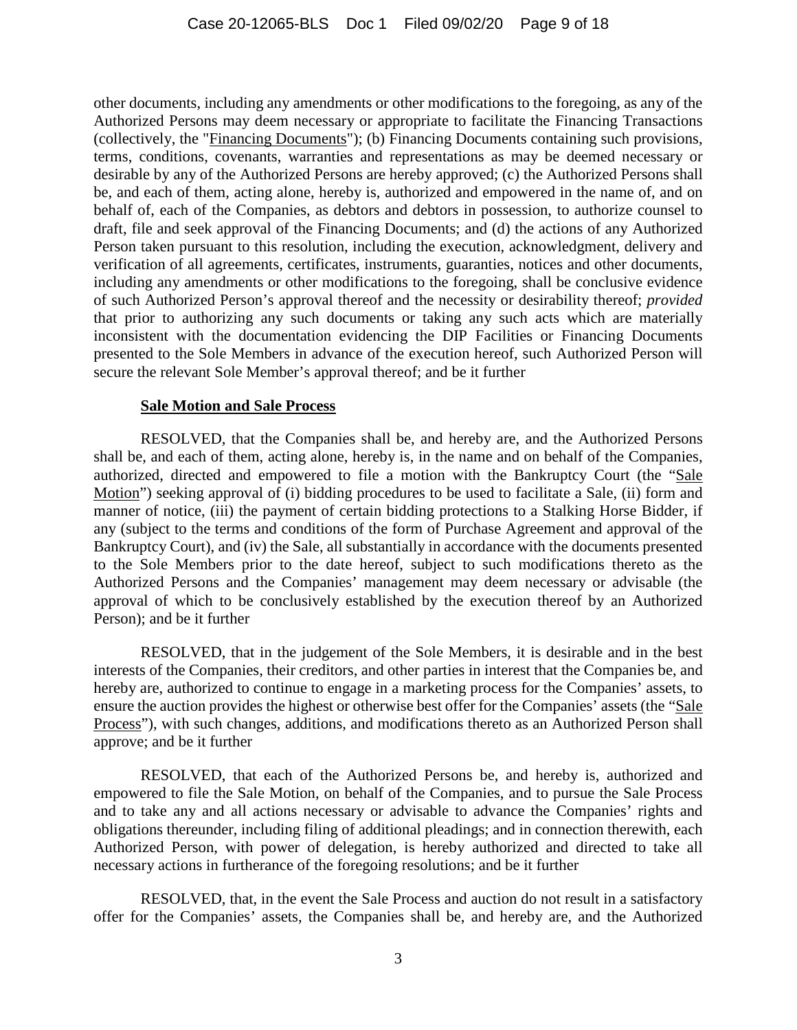other documents, including any amendments or other modifications to the foregoing, as any of the Authorized Persons may deem necessary or appropriate to facilitate the Financing Transactions (collectively, the "Financing Documents"); (b) Financing Documents containing such provisions, terms, conditions, covenants, warranties and representations as may be deemed necessary or desirable by any of the Authorized Persons are hereby approved; (c) the Authorized Persons shall be, and each of them, acting alone, hereby is, authorized and empowered in the name of, and on behalf of, each of the Companies, as debtors and debtors in possession, to authorize counsel to draft, file and seek approval of the Financing Documents; and (d) the actions of any Authorized Person taken pursuant to this resolution, including the execution, acknowledgment, delivery and verification of all agreements, certificates, instruments, guaranties, notices and other documents, including any amendments or other modifications to the foregoing, shall be conclusive evidence of such Authorized Person's approval thereof and the necessity or desirability thereof; *provided* that prior to authorizing any such documents or taking any such acts which are materially inconsistent with the documentation evidencing the DIP Facilities or Financing Documents presented to the Sole Members in advance of the execution hereof, such Authorized Person will secure the relevant Sole Member's approval thereof; and be it further

#### **Sale Motion and Sale Process**

RESOLVED, that the Companies shall be, and hereby are, and the Authorized Persons shall be, and each of them, acting alone, hereby is, in the name and on behalf of the Companies, authorized, directed and empowered to file a motion with the Bankruptcy Court (the "Sale Motion") seeking approval of (i) bidding procedures to be used to facilitate a Sale, (ii) form and manner of notice, (iii) the payment of certain bidding protections to a Stalking Horse Bidder, if any (subject to the terms and conditions of the form of Purchase Agreement and approval of the Bankruptcy Court), and (iv) the Sale, all substantially in accordance with the documents presented to the Sole Members prior to the date hereof, subject to such modifications thereto as the Authorized Persons and the Companies' management may deem necessary or advisable (the approval of which to be conclusively established by the execution thereof by an Authorized Person); and be it further

RESOLVED, that in the judgement of the Sole Members, it is desirable and in the best interests of the Companies, their creditors, and other parties in interest that the Companies be, and hereby are, authorized to continue to engage in a marketing process for the Companies' assets, to ensure the auction provides the highest or otherwise best offer for the Companies' assets (the "Sale Process"), with such changes, additions, and modifications thereto as an Authorized Person shall approve; and be it further

RESOLVED, that each of the Authorized Persons be, and hereby is, authorized and empowered to file the Sale Motion, on behalf of the Companies, and to pursue the Sale Process and to take any and all actions necessary or advisable to advance the Companies' rights and obligations thereunder, including filing of additional pleadings; and in connection therewith, each Authorized Person, with power of delegation, is hereby authorized and directed to take all necessary actions in furtherance of the foregoing resolutions; and be it further

RESOLVED, that, in the event the Sale Process and auction do not result in a satisfactory offer for the Companies' assets, the Companies shall be, and hereby are, and the Authorized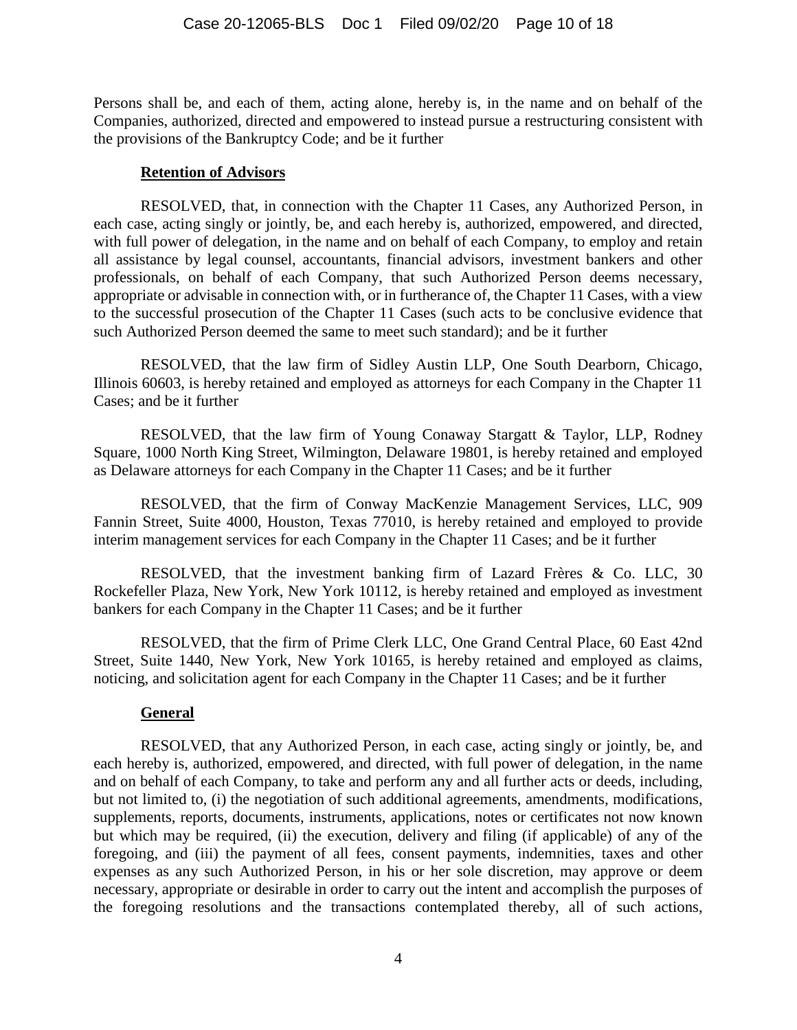Persons shall be, and each of them, acting alone, hereby is, in the name and on behalf of the Companies, authorized, directed and empowered to instead pursue a restructuring consistent with the provisions of the Bankruptcy Code; and be it further

### **Retention of Advisors**

RESOLVED, that, in connection with the Chapter 11 Cases, any Authorized Person, in each case, acting singly or jointly, be, and each hereby is, authorized, empowered, and directed, with full power of delegation, in the name and on behalf of each Company, to employ and retain all assistance by legal counsel, accountants, financial advisors, investment bankers and other professionals, on behalf of each Company, that such Authorized Person deems necessary, appropriate or advisable in connection with, or in furtherance of, the Chapter 11 Cases, with a view to the successful prosecution of the Chapter 11 Cases (such acts to be conclusive evidence that such Authorized Person deemed the same to meet such standard); and be it further

RESOLVED, that the law firm of Sidley Austin LLP, One South Dearborn, Chicago, Illinois 60603, is hereby retained and employed as attorneys for each Company in the Chapter 11 Cases; and be it further

RESOLVED, that the law firm of Young Conaway Stargatt & Taylor, LLP, Rodney Square, 1000 North King Street, Wilmington, Delaware 19801, is hereby retained and employed as Delaware attorneys for each Company in the Chapter 11 Cases; and be it further

RESOLVED, that the firm of Conway MacKenzie Management Services, LLC, 909 Fannin Street, Suite 4000, Houston, Texas 77010, is hereby retained and employed to provide interim management services for each Company in the Chapter 11 Cases; and be it further

RESOLVED, that the investment banking firm of Lazard Frères & Co. LLC, 30 Rockefeller Plaza, New York, New York 10112, is hereby retained and employed as investment bankers for each Company in the Chapter 11 Cases; and be it further

RESOLVED, that the firm of Prime Clerk LLC, One Grand Central Place, 60 East 42nd Street, Suite 1440, New York, New York 10165, is hereby retained and employed as claims, noticing, and solicitation agent for each Company in the Chapter 11 Cases; and be it further

### **General**

RESOLVED, that any Authorized Person, in each case, acting singly or jointly, be, and each hereby is, authorized, empowered, and directed, with full power of delegation, in the name and on behalf of each Company, to take and perform any and all further acts or deeds, including, but not limited to, (i) the negotiation of such additional agreements, amendments, modifications, supplements, reports, documents, instruments, applications, notes or certificates not now known but which may be required, (ii) the execution, delivery and filing (if applicable) of any of the foregoing, and (iii) the payment of all fees, consent payments, indemnities, taxes and other expenses as any such Authorized Person, in his or her sole discretion, may approve or deem necessary, appropriate or desirable in order to carry out the intent and accomplish the purposes of the foregoing resolutions and the transactions contemplated thereby, all of such actions,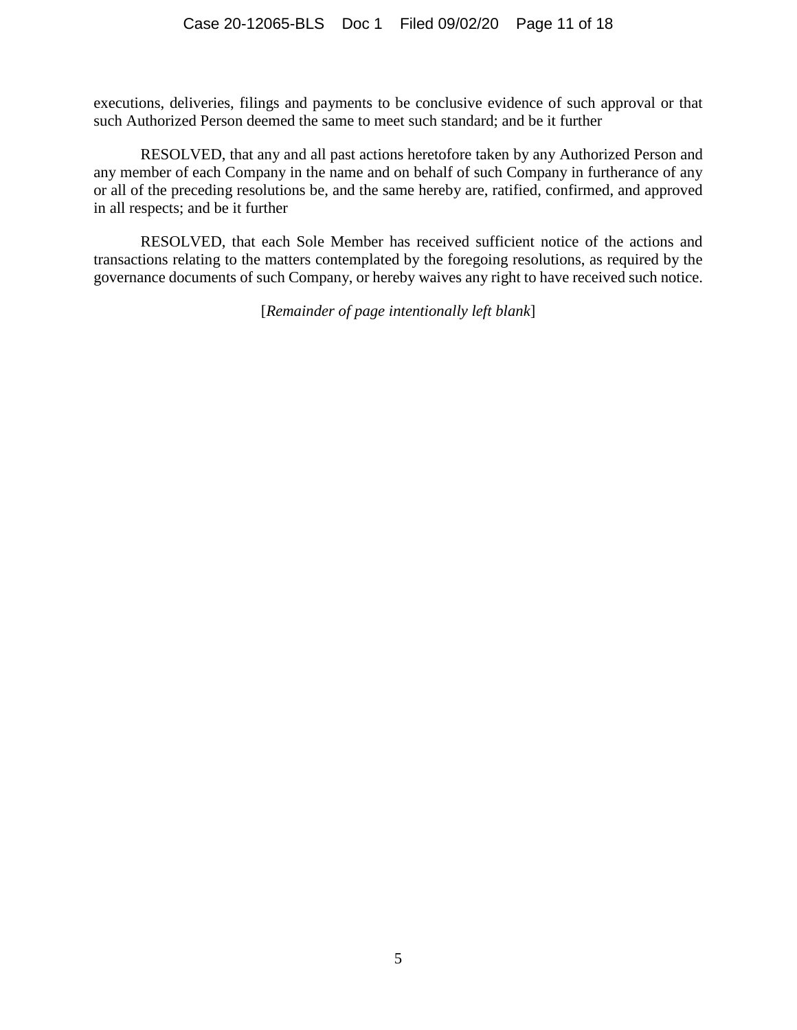executions, deliveries, filings and payments to be conclusive evidence of such approval or that such Authorized Person deemed the same to meet such standard; and be it further

RESOLVED, that any and all past actions heretofore taken by any Authorized Person and any member of each Company in the name and on behalf of such Company in furtherance of any or all of the preceding resolutions be, and the same hereby are, ratified, confirmed, and approved in all respects; and be it further

RESOLVED, that each Sole Member has received sufficient notice of the actions and transactions relating to the matters contemplated by the foregoing resolutions, as required by the governance documents of such Company, or hereby waives any right to have received such notice.

[*Remainder of page intentionally left blank*]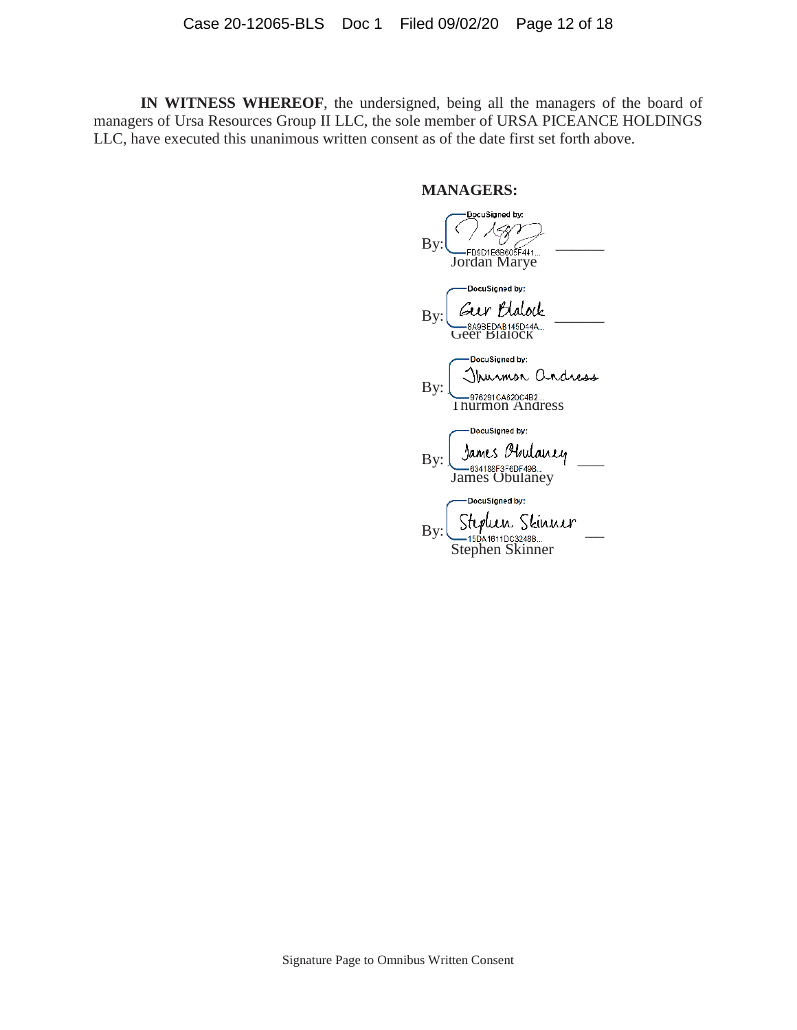**IN WITNESS WHEREOF**, the undersigned, being all the managers of the board of managers of Ursa Resources Group II LLC, the sole member of URSA PICEANCE HOLDINGS LLC, have executed this unanimous written consent as of the date first set forth above.

#### **MANAGERS:**

DocuSigned by:  $\mathrm{By:}\n \begin{array}{cccc}\n & \mathcal{C} & \mathcal{C} \\
& \mathsf{FDBD1E6B605F441}.\n \end{array}$ Jordan Marye DocuSigned by:  $\text{By:}$   $\begin{array}{c} \text{But} \\ \text{we have} \end{array}$ Geer Blalock DocuSigned by: By:  $\frac{1}{2}$   $\frac{1}{2}$   $\frac{1}{2}$   $\frac{1}{2}$   $\frac{1}{2}$   $\frac{1}{2}$   $\frac{1}{2}$   $\frac{1}{2}$   $\frac{1}{2}$   $\frac{1}{2}$   $\frac{1}{2}$   $\frac{1}{2}$   $\frac{1}{2}$   $\frac{1}{2}$   $\frac{1}{2}$   $\frac{1}{2}$   $\frac{1}{2}$   $\frac{1}{2}$   $\frac{1}{2}$   $\frac{1}{2}$   $\frac{1}{2}$   $\frac{1}{2$ Thurmon Andress DocuSigned by:  $By: \bigcup_{0.34188F3F6DF49B...} 94$ James Obulaney -DocuSigned by:  $_{\rm By:} \underbrace{\text{Stypun}_{\text{15D41611DC3248B...}}$ Stephen Skinner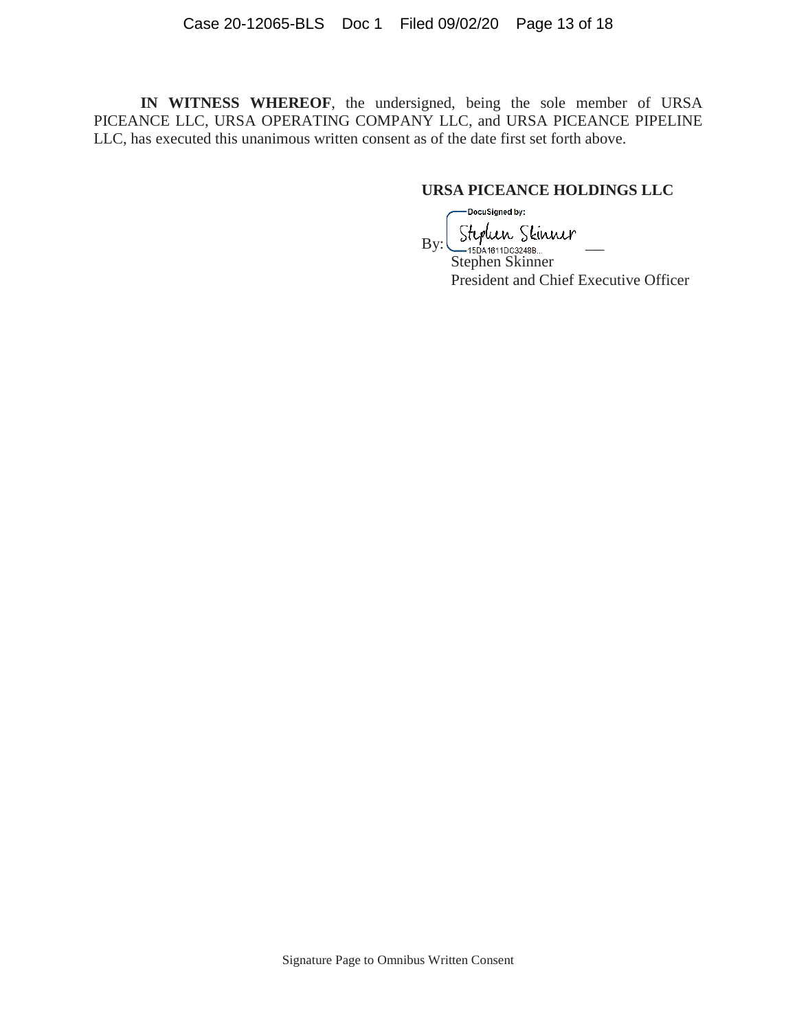**IN WITNESS WHEREOF**, the undersigned, being the sole member of URSA PICEANCE LLC, URSA OPERATING COMPANY LLC, and URSA PICEANCE PIPELINE LLC, has executed this unanimous written consent as of the date first set forth above.

### **URSA PICEANCE HOLDINGS LLC**

-DocuSigned by:  $B$ y: Stephen Skinner Stephen Skinner President and Chief Executive Officer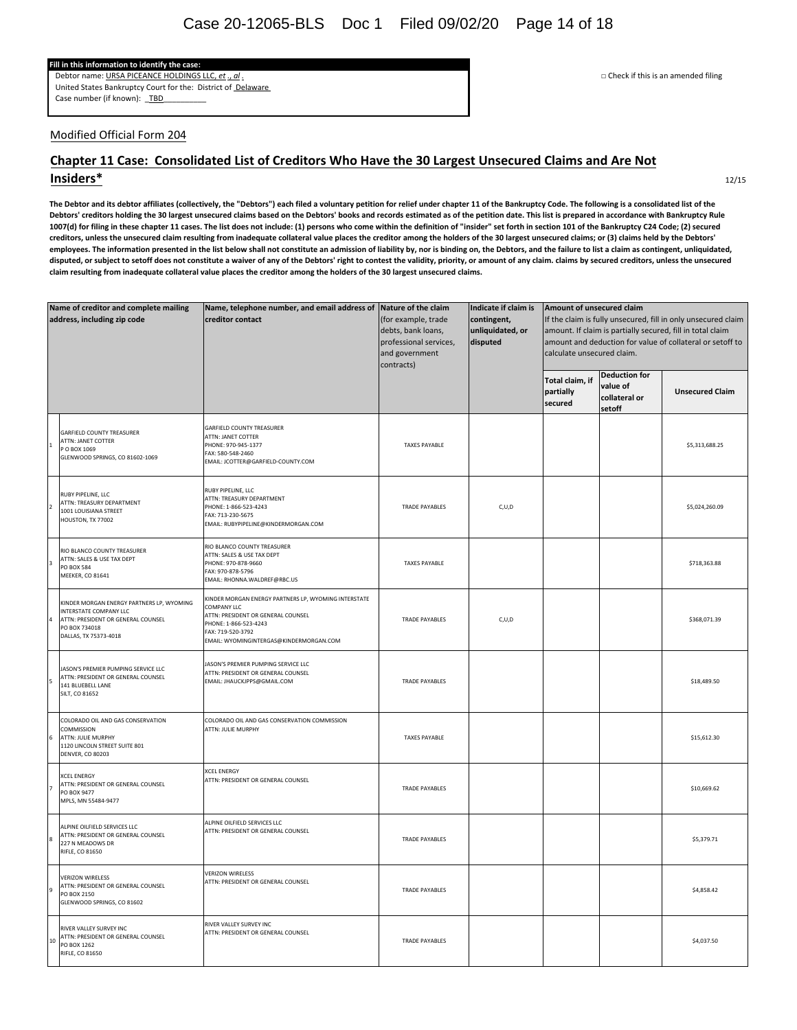#### **Fill in this information to identify the case:**

Debtor name: URSA PICEANCE HOLDINGS LLC, *et* ., *al* . □ Check if this is an amended filing United States Bankruptcy Court for the: District of Delaware Case number (if known): TBD

#### Modified Official Form 204

#### Chapter 11 Case: Consolidated List of Creditors Who Have the 30 Largest Unsecured Claims and Are Not **Insiders\***

The Debtor and its debtor affiliates (collectively, the "Debtors") each filed a voluntary petition for relief under chapter 11 of the Bankruptcy Code. The following is a consolidated list of the Debtors' creditors holding the 30 largest unsecured claims based on the Debtors' books and records estimated as of the petition date. This list is prepared in accordance with Bankruptcy Rule 1007(d) for filing in these chapter 11 cases. The list does not include: (1) persons who come within the definition of "insider" set forth in section 101 of the Bankruptcy C24 Code; (2) secured creditors, unless the unsecured claim resulting from inadequate collateral value places the creditor among the holders of the 30 largest unsecured claims; or (3) claims held by the Debtors' employees. The information presented in the list below shall not constitute an admission of liability by, nor is binding on, the Debtors, and the failure to list a claim as contingent, unliquidated, disputed, or subject to setoff does not constitute a waiver of any of the Debtors' right to contest the validity, priority, or amount of any claim. claims by secured creditors, unless the unsecured claim resulting from inadequate collateral value places the creditor among the holders of the 30 largest unsecured claims.

| Name of creditor and complete mailing<br>address, including zip code |                                                                                                                                                     | Name, telephone number, and email address of Nature of the claim<br>creditor contact<br>(for example, trade<br>debts, bank loans,<br>professional services,<br>and government<br>contracts)        |                       | Indicate if claim is<br>contingent,<br>unliquidated, or<br>disputed | Amount of unsecured claim<br>If the claim is fully unsecured, fill in only unsecured claim<br>amount. If claim is partially secured, fill in total claim<br>amount and deduction for value of collateral or setoff to<br>calculate unsecured claim. |                                                             |                        |
|----------------------------------------------------------------------|-----------------------------------------------------------------------------------------------------------------------------------------------------|----------------------------------------------------------------------------------------------------------------------------------------------------------------------------------------------------|-----------------------|---------------------------------------------------------------------|-----------------------------------------------------------------------------------------------------------------------------------------------------------------------------------------------------------------------------------------------------|-------------------------------------------------------------|------------------------|
|                                                                      |                                                                                                                                                     |                                                                                                                                                                                                    |                       |                                                                     | Total claim, if<br>partially<br>secured                                                                                                                                                                                                             | <b>Deduction for</b><br>value of<br>collateral or<br>setoff | <b>Unsecured Claim</b> |
|                                                                      | <b>GARFIELD COUNTY TREASURER</b><br>ATTN: JANET COTTER<br>PO BOX 1069<br>GLENWOOD SPRINGS, CO 81602-1069                                            | <b>GARFIELD COUNTY TREASURER</b><br>ATTN: JANET COTTER<br>PHONE: 970-945-1377<br>FAX: 580-548-2460<br>EMAIL: JCOTTER@GARFIELD-COUNTY.COM                                                           | <b>TAXES PAYABLE</b>  |                                                                     |                                                                                                                                                                                                                                                     |                                                             | \$5,313,688.25         |
|                                                                      | RUBY PIPELINE, LLC<br>ATTN: TREASURY DEPARTMENT<br>1001 LOUISIANA STREET<br>HOUSTON, TX 77002                                                       | RUBY PIPELINE, LLC<br>ATTN: TREASURY DEPARTMENT<br>PHONE: 1-866-523-4243<br>FAX: 713-230-5675<br>EMAIL: RUBYPIPELINE@KINDERMORGAN.COM                                                              | <b>TRADE PAYABLES</b> | C, U, D                                                             |                                                                                                                                                                                                                                                     |                                                             | \$5,024,260.09         |
|                                                                      | RIO BLANCO COUNTY TREASURER<br>ATTN: SALES & USE TAX DEPT<br><b>PO BOX 584</b><br>MEEKER, CO 81641                                                  | RIO BLANCO COUNTY TREASURER<br>ATTN: SALES & USE TAX DEPT<br>PHONE: 970-878-9660<br>FAX: 970-878-5796<br>EMAIL: RHONNA.WALDREF@RBC.US                                                              | <b>TAXES PAYABLE</b>  |                                                                     |                                                                                                                                                                                                                                                     |                                                             | \$718,363.88           |
|                                                                      | KINDER MORGAN ENERGY PARTNERS LP, WYOMING<br>INTERSTATE COMPANY LLC<br>ATTN: PRESIDENT OR GENERAL COUNSEL<br>PO BOX 734018<br>DALLAS, TX 75373-4018 | KINDER MORGAN ENERGY PARTNERS LP, WYOMING INTERSTATE<br>COMPANY LLC<br>ATTN: PRESIDENT OR GENERAL COUNSEL<br>PHONE: 1-866-523-4243<br>FAX: 719-520-3792<br>EMAIL: WYOMINGINTERGAS@KINDERMORGAN.COM | TRADE PAYABLES        | C, U, D                                                             |                                                                                                                                                                                                                                                     |                                                             | \$368,071.39           |
|                                                                      | JASON'S PREMIER PUMPING SERVICE LLC<br>ATTN: PRESIDENT OR GENERAL COUNSEL<br>141 BLUEBELL LANE<br>SILT, CO 81652                                    | JASON'S PREMIER PUMPING SERVICE LLC<br>ATTN: PRESIDENT OR GENERAL COUNSEL<br>EMAIL: JHAUCKJPPS@GMAIL.COM                                                                                           | TRADE PAYABLES        |                                                                     |                                                                                                                                                                                                                                                     |                                                             | \$18,489.50            |
|                                                                      | COLORADO OIL AND GAS CONSERVATION<br>COMMISSION<br>ATTN: JULIE MURPHY<br>1120 LINCOLN STREET SUITE 801<br><b>DENVER, CO 80203</b>                   | COLORADO OIL AND GAS CONSERVATION COMMISSION<br>ATTN: JULIE MURPHY                                                                                                                                 | <b>TAXES PAYABLE</b>  |                                                                     |                                                                                                                                                                                                                                                     |                                                             | \$15,612.30            |
|                                                                      | <b>XCEL ENERGY</b><br>ATTN: PRESIDENT OR GENERAL COUNSEL<br>PO BOX 9477<br>MPLS, MN 55484-9477                                                      | <b>XCEL ENERGY</b><br>ATTN: PRESIDENT OR GENERAL COUNSEL                                                                                                                                           | <b>TRADE PAYABLES</b> |                                                                     |                                                                                                                                                                                                                                                     |                                                             | \$10,669.62            |
|                                                                      | ALPINE OILFIELD SERVICES LLC<br>ATTN: PRESIDENT OR GENERAL COUNSEL<br>227 N MEADOWS DR<br>RIFLE, CO 81650                                           | ALPINE OILFIELD SERVICES LLC<br>ATTN: PRESIDENT OR GENERAL COUNSEL                                                                                                                                 | TRADE PAYABLES        |                                                                     |                                                                                                                                                                                                                                                     |                                                             | \$5,379.71             |
|                                                                      | <b>VERIZON WIRELESS</b><br>ATTN: PRESIDENT OR GENERAL COUNSEL<br>PO BOX 2150<br>GLENWOOD SPRINGS, CO 81602                                          | <b>VERIZON WIRELESS</b><br>ATTN: PRESIDENT OR GENERAL COUNSEL                                                                                                                                      | <b>TRADE PAYABLES</b> |                                                                     |                                                                                                                                                                                                                                                     |                                                             | \$4,858.42             |
| 10                                                                   | RIVER VALLEY SURVEY INC<br>ATTN: PRESIDENT OR GENERAL COUNSEL<br>PO BOX 1262<br><b>RIFLE, CO 81650</b>                                              | RIVER VALLEY SURVEY INC<br>ATTN: PRESIDENT OR GENERAL COUNSEL                                                                                                                                      | <b>TRADE PAYABLES</b> |                                                                     |                                                                                                                                                                                                                                                     |                                                             | \$4,037.50             |

12/15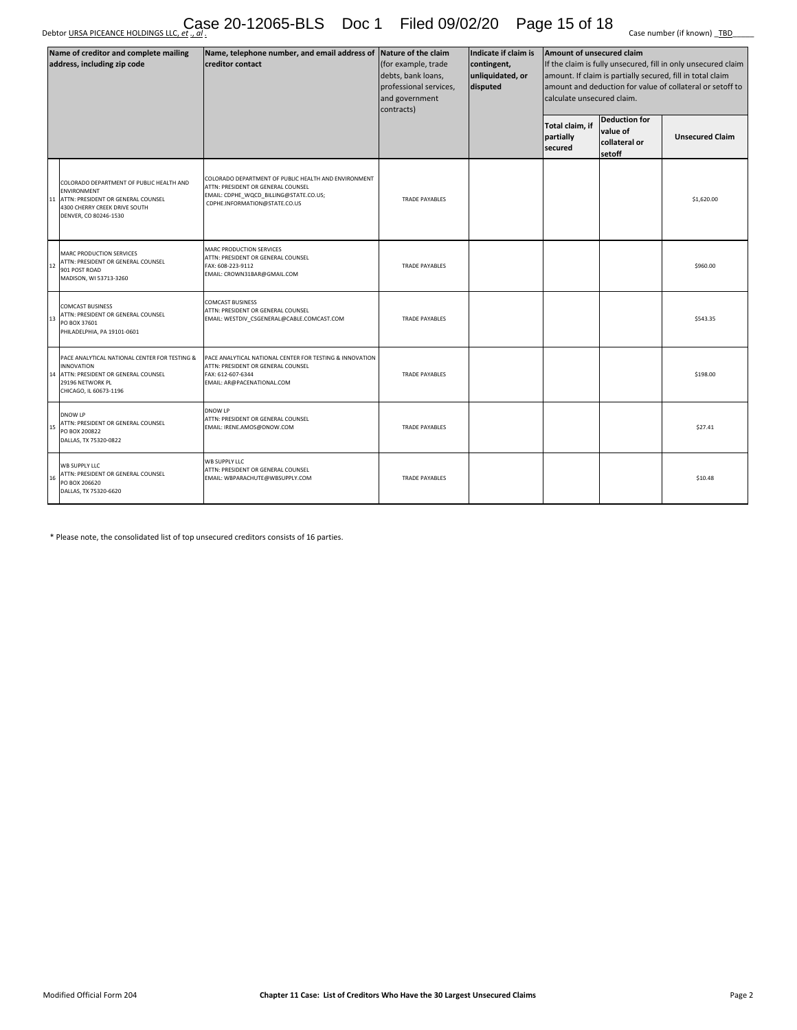Debtor <u>URSA PICEANCE HOLDINGS LLC, *et* ., *al* .</u> Case 20-12065-BLS Doc 1 Filed 09/02/20 Page 15 of 18 Case number (if known) <u>TBD</u>

| Name of creditor and complete mailing<br>address, including zip code |                                                                                                                                                         | Name, telephone number, and email address of Nature of the claim<br><b>creditor contact</b>                                                                           | (for example, trade<br>debts, bank loans,<br>professional services,<br>and government<br>contracts) | Indicate if claim is<br>contingent,<br>unliquidated, or<br>disputed | Amount of unsecured claim<br>If the claim is fully unsecured, fill in only unsecured claim<br>amount. If claim is partially secured, fill in total claim<br>amount and deduction for value of collateral or setoff to<br>calculate unsecured claim. |                                                             |                        |
|----------------------------------------------------------------------|---------------------------------------------------------------------------------------------------------------------------------------------------------|-----------------------------------------------------------------------------------------------------------------------------------------------------------------------|-----------------------------------------------------------------------------------------------------|---------------------------------------------------------------------|-----------------------------------------------------------------------------------------------------------------------------------------------------------------------------------------------------------------------------------------------------|-------------------------------------------------------------|------------------------|
|                                                                      |                                                                                                                                                         |                                                                                                                                                                       |                                                                                                     |                                                                     | Total claim, if<br>partially<br>secured                                                                                                                                                                                                             | <b>Deduction for</b><br>value of<br>collateral or<br>setoff | <b>Unsecured Claim</b> |
| 11                                                                   | COLORADO DEPARTMENT OF PUBLIC HEALTH AND<br>ENVIRONMENT<br>ATTN: PRESIDENT OR GENERAL COUNSEL<br>4300 CHERRY CREEK DRIVE SOUTH<br>DENVER, CO 80246-1530 | COLORADO DEPARTMENT OF PUBLIC HEALTH AND ENVIRONMENT<br>ATTN: PRESIDENT OR GENERAL COUNSEL<br>EMAIL: CDPHE_WQCD_BILLING@STATE.CO.US;<br>CDPHE.INFORMATION@STATE.CO.US | <b>TRADE PAYABLES</b>                                                                               |                                                                     |                                                                                                                                                                                                                                                     |                                                             | \$1,620.00             |
| 12                                                                   | MARC PRODUCTION SERVICES<br>ATTN: PRESIDENT OR GENERAL COUNSEL<br>901 POST ROAD<br>MADISON, WI 53713-3260                                               | MARC PRODUCTION SERVICES<br>ATTN: PRESIDENT OR GENERAL COUNSEL<br>FAX: 608-223-9112<br>EMAIL: CROWN31BAR@GMAIL.COM                                                    | <b>TRADE PAYABLES</b>                                                                               |                                                                     |                                                                                                                                                                                                                                                     |                                                             | \$960.00               |
| 13                                                                   | COMCAST BUSINESS<br>ATTN: PRESIDENT OR GENERAL COUNSEL<br>PO BOX 37601<br>PHILADELPHIA, PA 19101-0601                                                   | <b>COMCAST BUSINESS</b><br>ATTN: PRESIDENT OR GENERAL COUNSEL<br>EMAIL: WESTDIV_CSGENERAL@CABLE.COMCAST.COM                                                           | <b>TRADE PAYABLES</b>                                                                               |                                                                     |                                                                                                                                                                                                                                                     |                                                             | \$543.35               |
| 14                                                                   | PACE ANALYTICAL NATIONAL CENTER FOR TESTING &<br>INNOVATION<br>ATTN: PRESIDENT OR GENERAL COUNSEL<br>29196 NETWORK PL<br>CHICAGO, IL 60673-1196         | PACE ANALYTICAL NATIONAL CENTER FOR TESTING & INNOVATION<br>ATTN: PRESIDENT OR GENERAL COUNSEL<br>FAX: 612-607-6344<br>EMAIL: AR@PACENATIONAL.COM                     | <b>TRADE PAYABLES</b>                                                                               |                                                                     |                                                                                                                                                                                                                                                     |                                                             | \$198.00               |
| 15                                                                   | <b>DNOW LP</b><br>ATTN: PRESIDENT OR GENERAL COUNSEL<br>PO BOX 200822<br>DALLAS, TX 75320-0822                                                          | <b>DNOW LP</b><br>ATTN: PRESIDENT OR GENERAL COUNSEL<br>EMAIL: IRENE.AMOS@DNOW.COM                                                                                    | <b>TRADE PAYABLES</b>                                                                               |                                                                     |                                                                                                                                                                                                                                                     |                                                             | \$27.41                |
| 16                                                                   | <b>WB SUPPLY LLC</b><br>ATTN: PRESIDENT OR GENERAL COUNSEL<br>PO BOX 206620<br>DALLAS, TX 75320-6620                                                    | WB SUPPLY LLC<br>ATTN: PRESIDENT OR GENERAL COUNSEL<br>EMAIL: WBPARACHUTE@WBSUPPLY.COM                                                                                | <b>TRADE PAYABLES</b>                                                                               |                                                                     |                                                                                                                                                                                                                                                     |                                                             | \$10.48                |

\* Please note, the consolidated list of top unsecured creditors consists of 16 parties.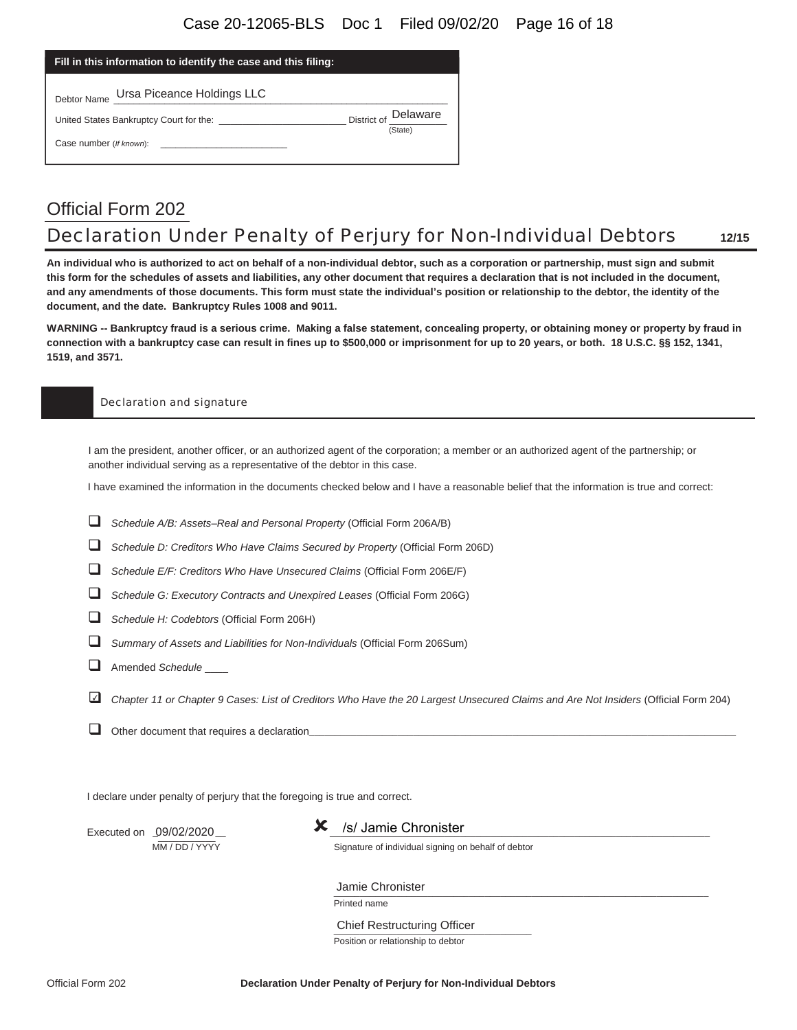#### Case 20-12065-BLS Doc 1 Filed 09/02/20 Page 16 of 18

| Fill in this information to identify the case and this filing:                                        |                      |
|-------------------------------------------------------------------------------------------------------|----------------------|
| Debtor Name Ursa Piceance Holdings LLC                                                                |                      |
| United States Bankruptcy Court for the:                                                               | District of Delaware |
| Case number (If known):<br>the control of the control of the control of the control of the control of | (State)              |

# Official Form 202 Declaration Under Penalty of Perjury for Non-Individual Debtors **12/15**

**An individual who is authorized to act on behalf of a non-individual debtor, such as a corporation or partnership, must sign and submit this form for the schedules of assets and liabilities, any other document that requires a declaration that is not included in the document, and any amendments of those documents. This form must state the individual's position or relationship to the debtor, the identity of the document, and the date. Bankruptcy Rules 1008 and 9011.** 

**WARNING -- Bankruptcy fraud is a serious crime. Making a false statement, concealing property, or obtaining money or property by fraud in connection with a bankruptcy case can result in fines up to \$500,000 or imprisonment for up to 20 years, or both. 18 U.S.C. §§ 152, 1341, 1519, and 3571.** 

#### Declaration and signature

I am the president, another officer, or an authorized agent of the corporation; a member or an authorized agent of the partnership; or another individual serving as a representative of the debtor in this case.

I have examined the information in the documents checked below and I have a reasonable belief that the information is true and correct:

- *Schedule A/B: Assets–Real and Personal Property* (Official Form 206A/B)
- *Schedule D: Creditors Who Have Claims Secured by Property* (Official Form 206D)
- *Schedule E/F: Creditors Who Have Unsecured Claims* (Official Form 206E/F)
- *Schedule G: Executory Contracts and Unexpired Leases* (Official Form 206G)
- *Schedule H: Codebtors* (Official Form 206H)
- *Summary of Assets and Liabilities for Non-Individuals* (Official Form 206Sum)
- Amended *Schedule* \_\_\_\_
- *Chapter 11 or Chapter 9 Cases: List of Creditors Who Have the 20 Largest Unsecured Claims and Are Not Insiders* (Official Form 204) ✔

 $\Box$  Other document that requires a declaration

I declare under penalty of perjury that the foregoing is true and correct.

Executed on  $\frac{09}{02/2020}$  **X** /s/ Jamie Chronister 09/02/2020

MM / DD / YYYY Signature of individual signing on behalf of debtor

 $\frac{1}{2}$ Jamie Chronister

Printed name

\_\_\_\_\_\_\_\_\_\_\_\_\_\_\_\_\_\_\_\_\_\_\_\_\_\_\_\_\_\_\_\_\_\_\_\_\_\_ Chief Restructuring Officer Position or relationship to debtor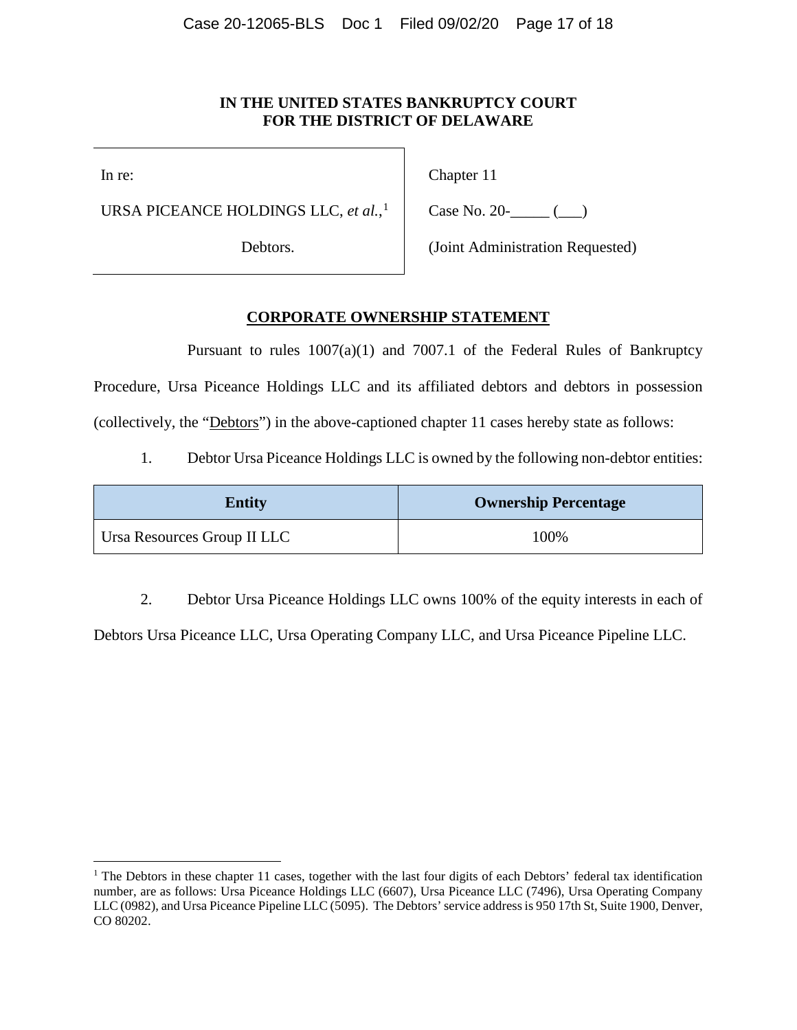### **IN THE UNITED STATES BANKRUPTCY COURT FOR THE DISTRICT OF DELAWARE**

In re:

URSA PICEANCE HOLDINGS LLC, *et al.*, [1](#page-16-0)

Debtors.

Chapter 11

Case No. 20- $\qquad \qquad (-)$ 

(Joint Administration Requested)

### **CORPORATE OWNERSHIP STATEMENT**

Pursuant to rules 1007(a)(1) and 7007.1 of the Federal Rules of Bankruptcy Procedure, Ursa Piceance Holdings LLC and its affiliated debtors and debtors in possession (collectively, the "Debtors") in the above-captioned chapter 11 cases hereby state as follows:

1. Debtor Ursa Piceance Holdings LLC is owned by the following non-debtor entities:

| <b>Entity</b>               | <b>Ownership Percentage</b> |
|-----------------------------|-----------------------------|
| Ursa Resources Group II LLC | 100\%                       |

2. Debtor Ursa Piceance Holdings LLC owns 100% of the equity interests in each of

Debtors Ursa Piceance LLC, Ursa Operating Company LLC, and Ursa Piceance Pipeline LLC.

<span id="page-16-0"></span><sup>&</sup>lt;sup>1</sup> The Debtors in these chapter 11 cases, together with the last four digits of each Debtors' federal tax identification number, are as follows: Ursa Piceance Holdings LLC (6607), Ursa Piceance LLC (7496), Ursa Operating Company LLC (0982), and Ursa Piceance Pipeline LLC (5095). The Debtors' service address is 950 17th St, Suite 1900, Denver, CO 80202.